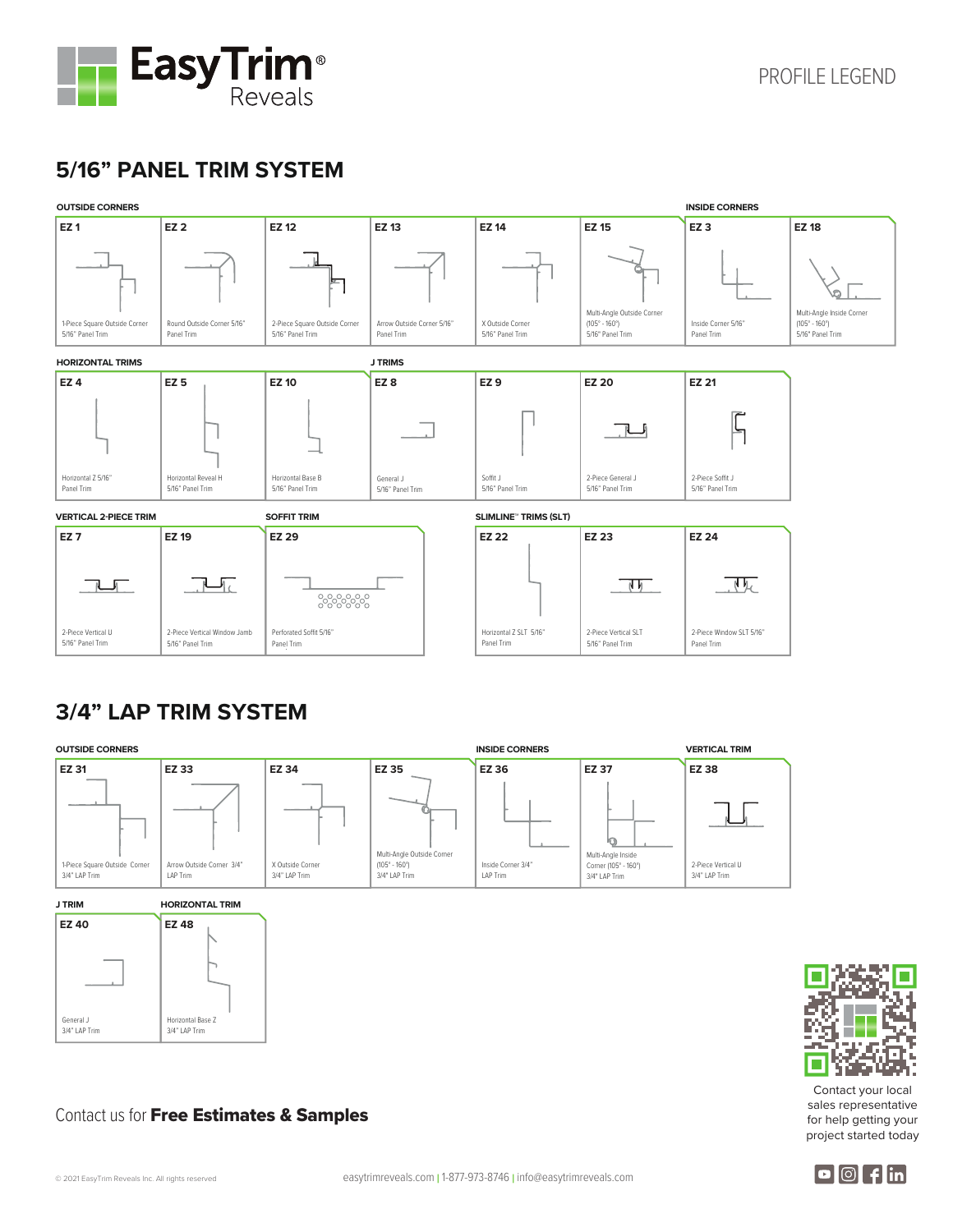

## **5/16" PANEL TRIM SYSTEM**



### **3/4" LAP TRIM SYSTEM**







Contact your local sales representative for help getting your project started today

#### Contact us for Free Estimates & Samples